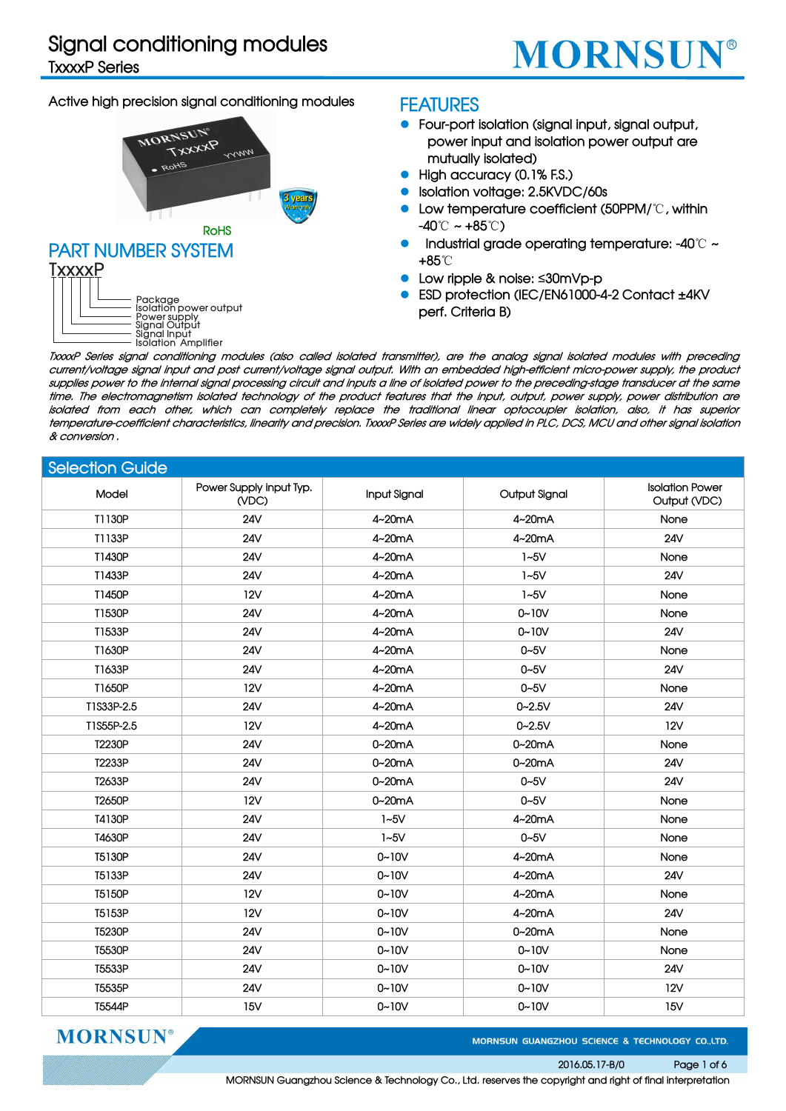# **Signal conditioning modules**

**TxxxxP Series**

# **MORNSUN®**

## **Active high precision signal conditioning modules**



## **FEATURES**

- **Four-port isolation (signal input, signal output, power input and isolation power output are mutually isolated)**
- **High accuracy (0.1% F.S.)**
- **Isolation voltage: 2.5KVDC/60s**
- **Low temperature coefficient (50PPM/**℃**, within -40**℃ **~ +85**℃**)**
- **Industrial grade operating temperature: -40**℃ **~ +85**℃
- **Low ripple & noise:** ≤**30mVp-p**
- **ESD protection (IEC/EN61000-4-2 Contact ±4KV perf. Criteria B)**

TxxxP Series signal conditioning modules (also called isolated transmitter), are the analog signal isolated modules with preceding current/voltage signal input and post current/voltage signal output. With an embedded high-efficient micro-power supply, the product supplies power to the internal signal processing circuit and inputs a line of isolated power to the preceding-stage transducer at the same time. The electromagnetism isolated technology of the product features that the input, output, power supply, power distribution are isolated from each other, which can completely replace the traditional linear optocoupler isolation, also, it has superior temperature-coefficient characteristics, linearity and precision. TxxxP Series are widely applied in PLC, DCS, MCU and other signal isolation **& conversion .**

### **Selection Guide**

| Model      | Power Supply input Typ.<br>(VDC) | Input Signal | Output Signal | <b>Isolation Power</b><br>Output (VDC) |
|------------|----------------------------------|--------------|---------------|----------------------------------------|
| T1130P     | <b>24V</b>                       | 4~20mA       | 4~20mA        | None                                   |
| T1133P     | <b>24V</b>                       | 4~20mA       | 4~20mA        | <b>24V</b>                             |
| T1430P     | <b>24V</b>                       | 4~20mA       | $1-5V$        | None                                   |
| T1433P     | 24V                              | 4~20mA       | $1-5V$        | <b>24V</b>                             |
| T1450P     | <b>12V</b>                       | 4~20mA       | $1-5V$        | None                                   |
| T1530P     | 24V                              | 4~20mA       | $0 - 10V$     | None                                   |
| T1533P     | <b>24V</b>                       | 4~20mA       | $0 - 10V$     | <b>24V</b>                             |
| T1630P     | <b>24V</b>                       | 4~20mA       | $0 - 5V$      | None                                   |
| T1633P     | <b>24V</b>                       | 4~20mA       | $0 - 5V$      | <b>24V</b>                             |
| T1650P     | 12V                              | 4~20mA       | $0 - 5V$      | None                                   |
| T1S33P-2.5 | <b>24V</b>                       | 4~20mA       | $0 - 2.5V$    | <b>24V</b>                             |
| T1S55P-2.5 | <b>12V</b>                       | 4~20mA       | $0 - 2.5V$    | <b>12V</b>                             |
| T2230P     | 24V                              | $0-20mA$     | $0-20mA$      | None                                   |
| T2233P     | <b>24V</b>                       | 0~20mA       | 0~20mA        | <b>24V</b>                             |
| T2633P     | 24V                              | 0~20mA       | $0 - 5V$      | <b>24V</b>                             |
| T2650P     | <b>12V</b>                       | 0~20mA       | $0 - 5V$      | None                                   |
| T4130P     | <b>24V</b>                       | $1-5V$       | 4~20mA        | None                                   |
| T4630P     | <b>24V</b>                       | $1-5V$       | $0 - 5V$      | None                                   |
| T5130P     | <b>24V</b>                       | $0 - 10V$    | 4~20mA        | None                                   |
| T5133P     | 24V                              | $0 - 10V$    | 4~20mA        | <b>24V</b>                             |
| T5150P     | <b>12V</b>                       | $0 - 10V$    | 4~20mA        | None                                   |
| T5153P     | 12V                              | $0 - 10V$    | 4~20mA        | <b>24V</b>                             |
| T5230P     | <b>24V</b>                       | $0 - 10V$    | 0~20mA        | None                                   |
| T5530P     | <b>24V</b>                       | $0 - 10V$    | $0 - 10V$     | None                                   |
| T5533P     | <b>24V</b>                       | $0 - 10V$    | $0 - 10V$     | <b>24V</b>                             |
| T5535P     | <b>24V</b>                       | $0 - 10V$    | $0 - 10V$     | <b>12V</b>                             |
| T5544P     | 15V                              | $0 - 10V$    | $0 - 10V$     | 15V                                    |

**MORNSUN®** 

MORNSUN GUANGZHOU SCIENCE & TECHNOLOGY CO.,LTD.

#### **2016.05.17-B/0 Page 1 of 6**

**MORNSUN Guangzhou Science & Technology Co., Ltd. reserves the copyright and right of finalinterpretation**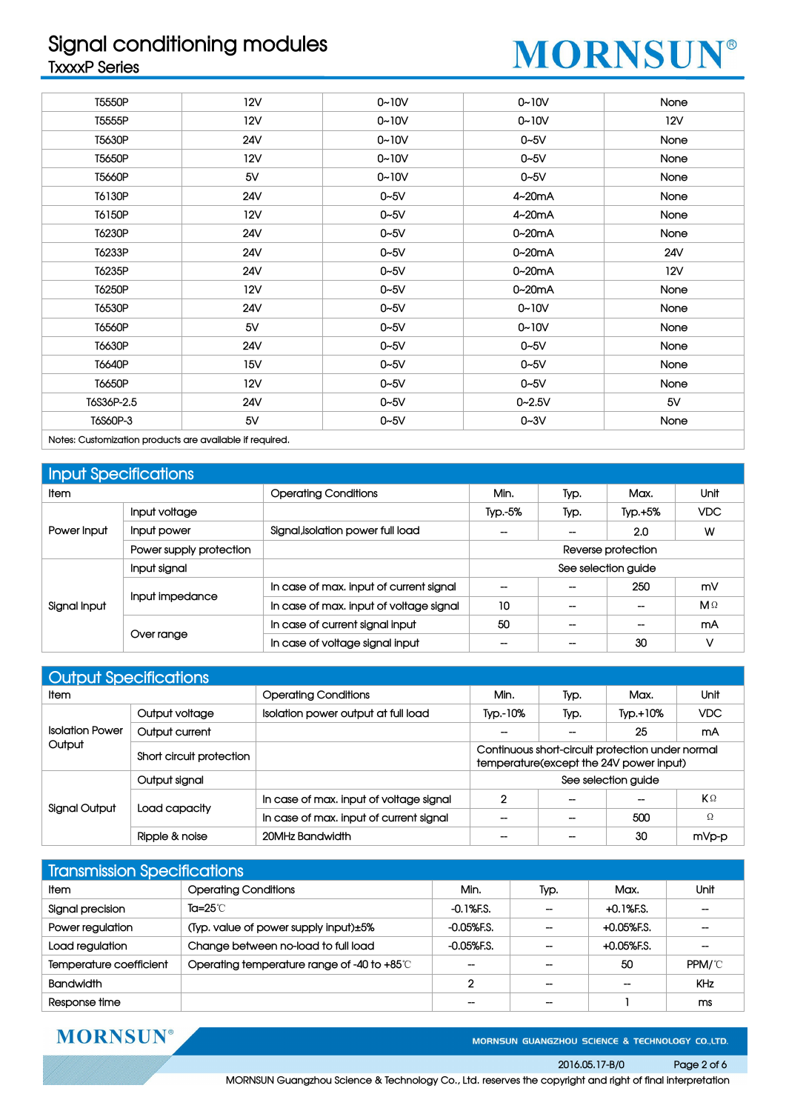# **Signal conditioning modules TxxxxP Series**



| T5550P                                                                                        | 12V        | $0 - 10V$ | $0 - 10V$  | None |
|-----------------------------------------------------------------------------------------------|------------|-----------|------------|------|
| T5555P                                                                                        | 12V        | $0 - 10V$ | $0 - 10V$  | 12V  |
| T5630P                                                                                        | 24V        | $0 - 10V$ | $0-5V$     | None |
| T5650P                                                                                        | <b>12V</b> | $0 - 10V$ | $0 - 5V$   | None |
| T5660P                                                                                        | 5V         | $0 - 10V$ | $0-5V$     | None |
| T6130P                                                                                        | 24V        | $0 - 5V$  | $4-20mA$   | None |
| T6150P                                                                                        | 12V        | $0 - 5V$  | 4~20mA     | None |
| T6230P                                                                                        | 24V        | $0 - 5V$  | 0~20mA     | None |
| T6233P                                                                                        | 24V        | $0 - 5V$  | 0~20mA     | 24V  |
| T6235P                                                                                        | <b>24V</b> | $0 - 5V$  | 0~20mA     | 12V  |
| T6250P                                                                                        | 12V        | $0 - 5V$  | 0~20mA     | None |
| T6530P                                                                                        | 24V        | $0 - 5V$  | $0 - 10V$  | None |
| T6560P                                                                                        | 5V         | $0 - 5V$  | $0 - 10V$  | None |
| T6630P                                                                                        | 24V        | $0 - 5V$  | $0-5V$     | None |
| T6640P                                                                                        | 15V        | $0 - 5V$  | $0-5V$     | None |
| T6650P                                                                                        | 12V        | $0 - 5V$  | $0 - 5V$   | None |
| T6S36P-2.5                                                                                    | <b>24V</b> | $0 - 5V$  | $0 - 2.5V$ | 5V   |
| T6S60P-3                                                                                      | 5V         | $0 - 5V$  | $0 - 3V$   | None |
| A hold of the continuation of the contract of the contract of the contract of the contract of |            |           |            |      |

**Notes: Customization products are available if required.**

| <b>Input Specifications</b> |                         |                                         |                     |                          |           |              |  |
|-----------------------------|-------------------------|-----------------------------------------|---------------------|--------------------------|-----------|--------------|--|
| Item                        |                         | <b>Operating Conditions</b>             | Min.                | Typ.                     | Max.      | Unit         |  |
| Power Input                 | Input voltage           |                                         | Typ.-5%             | Typ.                     | $Typ.+5%$ | <b>VDC</b>   |  |
|                             | Input power             | Signal, isolation power full load       |                     |                          | 2.0       | W            |  |
|                             | Power supply protection |                                         | Reverse protection  |                          |           |              |  |
|                             | Input signal            |                                         | See selection guide |                          |           |              |  |
|                             | Input impedance         | In case of max, input of current signal | $\hspace{0.05cm}$   |                          | 250       | mV           |  |
| Signal Input                |                         | In case of max. input of voltage signal | 10                  | $\overline{\phantom{a}}$ | --        | $M \Omega$   |  |
|                             |                         | In case of current signal input         | 50                  | $\overline{\phantom{a}}$ | --        | mA           |  |
|                             | Over range              | In case of voltage signal input         | --                  | --                       | 30        | $\mathsf{V}$ |  |

| <b>Output Specifications</b> |                          |                                         |                   |      |                                                                                             |       |  |  |  |
|------------------------------|--------------------------|-----------------------------------------|-------------------|------|---------------------------------------------------------------------------------------------|-------|--|--|--|
| ltem.                        |                          | <b>Operating Conditions</b>             | Min.              | Typ. | Max.                                                                                        | Unit  |  |  |  |
|                              | Output voltage           | Isolation power output at full load     | Typ.-10%          | Typ. | $TVD. + 10%$                                                                                | VDC.  |  |  |  |
| <b>Isolation Power</b>       | Output current           |                                         | --                |      | 25                                                                                          | mA    |  |  |  |
| Output                       | Short circuit protection |                                         |                   |      | Continuous short-circuit protection under normal<br>temperature(except the 24V power input) |       |  |  |  |
|                              | Output signal            |                                         |                   |      | See selection guide                                                                         |       |  |  |  |
|                              |                          | In case of max, input of voltage signal | 2                 |      |                                                                                             | KΩ    |  |  |  |
| Signal Output                | Load capacity            | In case of max. input of current signal | $\hspace{0.05cm}$ | --   | 500                                                                                         | Ω     |  |  |  |
|                              | Ripple & noise           | 20MHz Bandwidth                         | $- -$             | --   | 30                                                                                          | mVp-p |  |  |  |

| <b>Transmission Specifications</b> |                                             |                |                          |                   |                          |  |  |
|------------------------------------|---------------------------------------------|----------------|--------------------------|-------------------|--------------------------|--|--|
| <b>Item</b>                        | <b>Operating Conditions</b>                 | Min.           | Typ.                     | Max.              | Unit                     |  |  |
| Signal precision                   | Ta=25 $\degree$ C                           | $-0.1%$ F.S.   | $\overline{\phantom{m}}$ | $+0.1%$ F.S.      | $\overline{\phantom{m}}$ |  |  |
| Power regulation                   | (Typ. value of power supply input)±5%       | $-0.05%$ F.S.  | --                       | $+0.05%$ F.S.     | $\hspace{0.05cm}$        |  |  |
| Load regulation                    | Change between no-load to full load         | $-0.05%$ F.S.  | --                       | $+0.05%$ F.S.     | $\hspace{0.05cm}$        |  |  |
| Temperature coefficient            | Operating temperature range of -40 to +85°C | $- -$          | --                       | 50                | PPM/°C                   |  |  |
| <b>Bandwidth</b>                   |                                             | $\overline{2}$ | --                       | $\hspace{0.05cm}$ | <b>KHz</b>               |  |  |
| Response time                      |                                             | $- -$          | --                       |                   | ms                       |  |  |

**MORNSUN®** 

MORNSUN GUANGZHOU SCIENCE & TECHNOLOGY CO.,LTD.

### **2016.05.17-B/0 Page 2 of 6**

**MORNSUN Guangzhou Science & Technology Co., Ltd. reserves the copyright and right of finalinterpretation**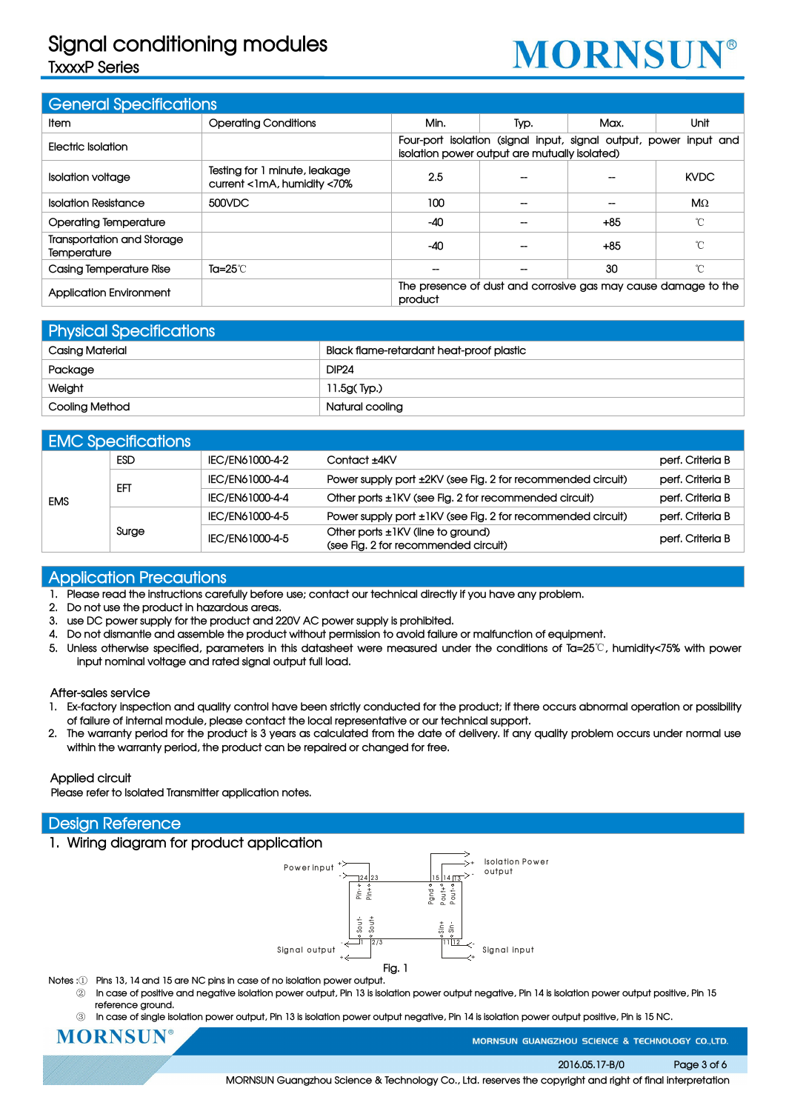# **Signal conditioning modules TxxxxP Series**

# **MORNSUN®**

| <b>General Specifications</b>             |                                                              |                                                                           |      |       |                                                                   |  |
|-------------------------------------------|--------------------------------------------------------------|---------------------------------------------------------------------------|------|-------|-------------------------------------------------------------------|--|
| ltem.                                     | <b>Operating Conditions</b>                                  | Min.                                                                      | Typ. | Max.  | Unit                                                              |  |
| Electric Isolation                        |                                                              | isolation power output are mutually isolated)                             |      |       | Four-port isolation (signal input, signal output, power input and |  |
| <b>Isolation voltage</b>                  | Testing for 1 minute, leakage<br>current <1mA, humidity <70% | 2.5                                                                       |      |       | <b>KVDC</b>                                                       |  |
| <b>Isolation Resistance</b>               | 500VDC                                                       | 100                                                                       |      |       | $M\Omega$                                                         |  |
| <b>Operating Temperature</b>              |                                                              | $-40$                                                                     |      | $+85$ | $\sim$                                                            |  |
| Transportation and Storage<br>Temperature |                                                              | $-40$                                                                     |      | $+85$ | °C                                                                |  |
| Casing Temperature Rise                   | Ta= $25^\circ\text{C}$                                       |                                                                           |      | 30    | °C                                                                |  |
| <b>Application Environment</b>            |                                                              | The presence of dust and corrosive gas may cause damage to the<br>product |      |       |                                                                   |  |

| <b>Physical Specifications</b> |                                          |  |  |  |  |
|--------------------------------|------------------------------------------|--|--|--|--|
| <b>Casing Material</b>         | Black flame-retardant heat-proof plastic |  |  |  |  |
| Package                        | <b>DIP24</b>                             |  |  |  |  |
| Weight                         | 11.5g(Typ.)                              |  |  |  |  |
| Cooling Method                 | Natural cooling                          |  |  |  |  |

|            | <b>EMC Specifications</b> |                 |                                                                           |                  |
|------------|---------------------------|-----------------|---------------------------------------------------------------------------|------------------|
| <b>ESD</b> |                           | IEC/EN61000-4-2 | Contact ±4KV                                                              | perf. Criteria B |
|            | <b>EFT</b>                | IEC/EN61000-4-4 | Power supply port ±2KV (see Fig. 2 for recommended circuit)               | perf. Criteria B |
| <b>EMS</b> |                           | IEC/EN61000-4-4 | Other ports ±1KV (see Fig. 2 for recommended circuit)                     | perf. Criteria B |
|            |                           | IEC/EN61000-4-5 | Power supply port ±1KV (see Fig. 2 for recommended circuit)               | perf. Criteria B |
|            | Surge                     | IEC/EN61000-4-5 | Other ports ±1KV (line to ground)<br>(see Fig. 2 for recommended circuit) | perf. Criteria B |

## **Application Precautions**

- 1. Please read the instructions carefully before use; contact our technical directly if you have any problem.
- **2. Do not use the product in hazardous areas.**
- **3. use DC power supply for the product and 220V AC power supply is prohibited.**
- 4. Do not dismantle and assemble the product without permission to avoid failure or malfunction of equipment.
- 5. Unless otherwise specified, parameters in this datasheet were measured under the conditions of Ta=25°C, humidity<75% with power **input nominal voltage and rated signal output full load.**

### **After-sales service**

- 1. Ex-factory inspection and quality control have been strictly conducted for the product; if there occurs abnormal operation or possibility **of failure of internal module, please contact the local representative or our technical support.**
- 2. The warranty period for the product is 3 years as calculated from the date of delivery. If any quality problem occurs under normal use **within the warranty period, the product can be repaired or changed for free.**

### **Applied circuit**

**Please refer to Isolated Transmitter application notes.**

### **Design Reference**



- **Notes :**① **Pins 13, 14 and 15 are NC pins in case of no isolation power output.**
	- In case of positive and negative isolation power output, Pin 13 is isolation power output negative, Pin 14 is isolation power output positive, Pin 15 **reference ground.**
	- 3 In case of single isolation power output, Pin 13 is isolation power output negative, Pin 14 is isolation power output positive, Pin is 15 NC.

**MORNSUN** 

MORNSUN GUANGZHOU SCIENCE & TECHNOLOGY CO.,LTD.

**2016.05.17-B/0 Page 3 of 6**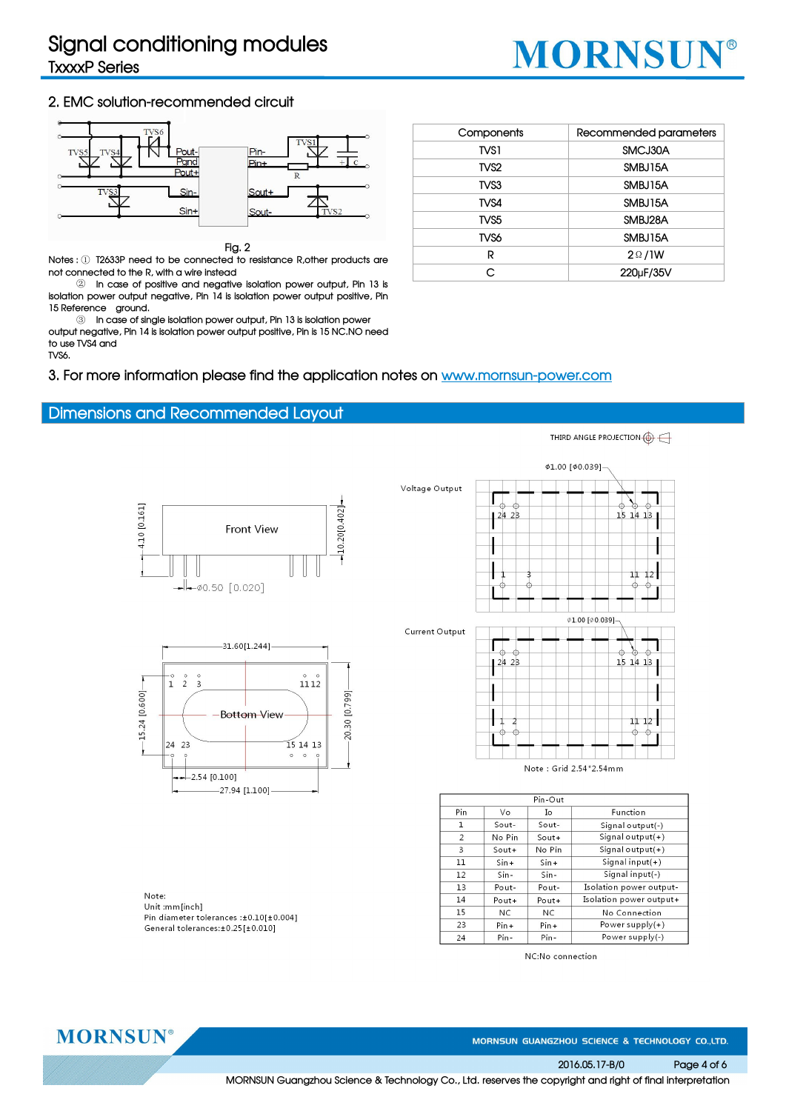

### **2. EMC solution-recommended circuit**



#### **Fig. 2**

**Notes :** ① **T2633P need to be connected to resistance R,other products are not connected to the R, with a wire instead**

② **In case of positive and negative isolation power output, Pin 13 is isolation power output negative, Pin 14 is isolation power output positive, Pin 15 Reference ground.**

③ **In case of single isolation power output, Pin 13 is isolation power output negative, Pin 14 is isolation power output positive, Pin is 15 NC.NO need to use TVS4 and TVS6.**

**3. For more information please find the application notes on www.mornsun-power.com**

### **Dimensions and Recommended Layout**





Note: Unit :mm[inch] Pin diameter tolerances :±0.10[±0.004] General tolerances: ±0.25 [±0.010]

| Components       | Recommended parameters |
|------------------|------------------------|
| TVS1             | SMCJ30A                |
| TVS <sub>2</sub> | SMBJ15A                |
| TVS3             | SMBJ15A                |
| TVS4             | SMBJ15A                |
| TVS <sub>5</sub> | SMBJ28A                |
| TVS6             | SMBJ15A                |
| R                | $2 \Omega / 1 W$       |
| C                | 220µF/35V              |
|                  |                        |



|     |           | Pin-Out  |                         |
|-----|-----------|----------|-------------------------|
| Pin | Vo        | Ιo       | Function                |
| 1   | $South$ - | Sout-    | Signal output(-)        |
| 2   | No Pin    | $South+$ | Signal output $(+)$     |
| 3   | $South+$  | No Pin   | Signal output $(+)$     |
| 11  | $Sin+$    | $Sin+$   | Signal input $(+)$      |
| 12  | $Sin-$    | $Sin-$   | Signal input(-)         |
| 13  | Pout-     | Pout-    | Isolation power output- |
| 14  | $Port+$   | $Port+$  | Isolation power output+ |
| 15  | NC.       | NC.      | No Connection           |
| 23  | $Pin +$   | $Pin +$  | Power supply $(+)$      |
| 24  | Pin-      | Pin-     | Power supply(-)         |

NC:No connection

THIRD ANGLE PROJECTION (4)

**MORNSUN®** 

MORNSUN GUANGZHOU SCIENCE & TECHNOLOGY CO.,LTD.

**2016.05.17-B/0 Page 4 of 6**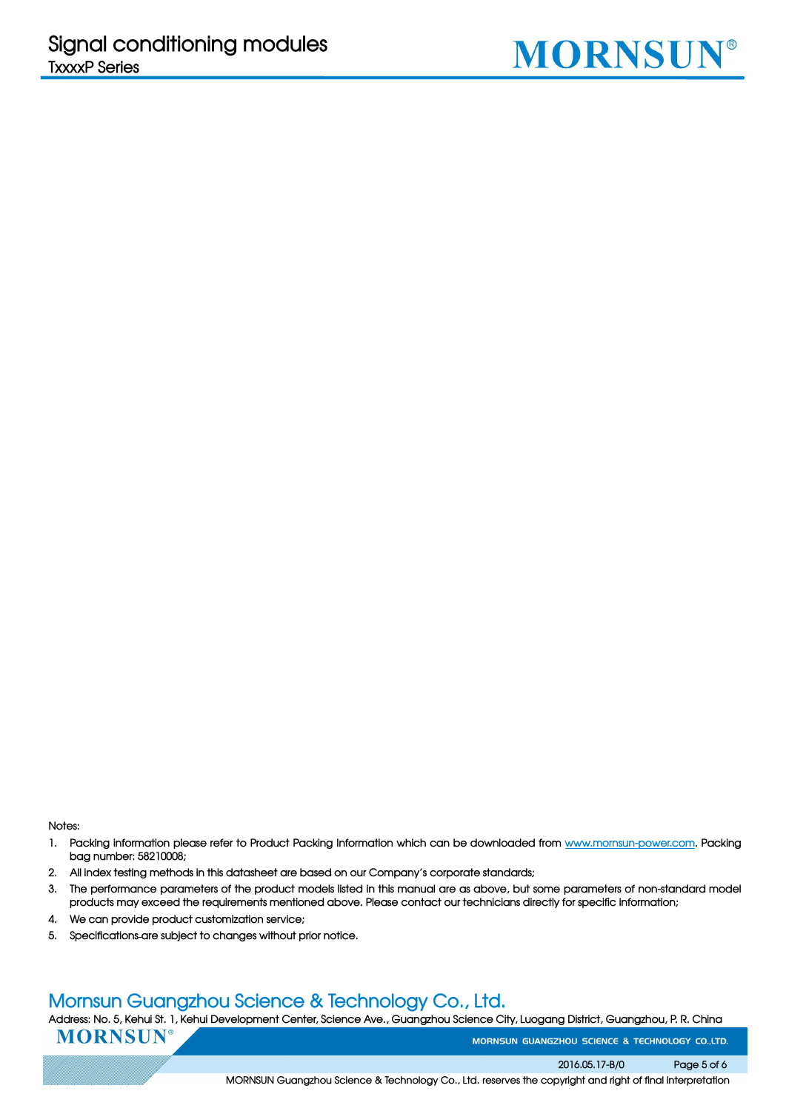

**Notes:**

- 1. Packing information please refer to Product Packing Information which can be downloaded from www.mornsun-power.com. Packing **bag number: 58210008;**
- **2. All index testing methods in this datasheet are based on ourCompany's corporate standards;**
- 3. The performance parameters of the product models listed in this manual are as above, but some parameters of non-standard model **products may exceed the requirements mentioned above. Please contact our technicians directly for specific information;**
- **4. We can provide product customization service;**
- **5. Specifications are subject to changes without prior notice.**

## **Mornsun Guangzhou Science & Technology Co., Ltd.**

Address: No. 5, Kehui St. 1, Kehui Development Center, Science Ave., Guangzhou Science City, Luogang District, Guangzhou, P. R. China

**MORNSUN®** 

MORNSUN GUANGZHOU SCIENCE & TECHNOLOGY CO.,LTD.

**2016.05.17-B/0 Page 5 of 6**